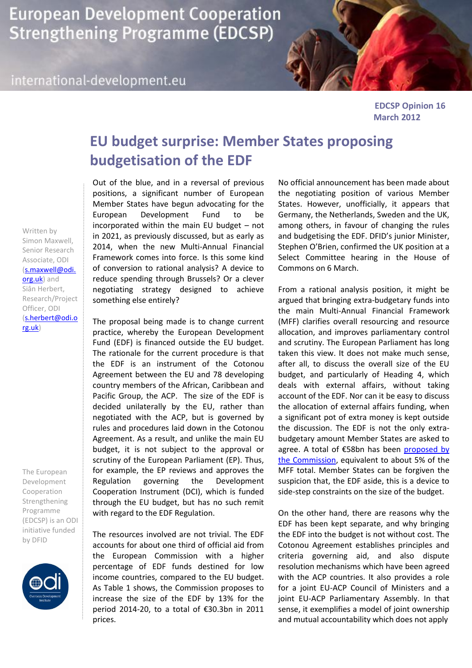**European Development Cooperation Strengthening Programme (EDCSP)** 

## international-development.eu



**EDCSP Opinion 16 March 2012**

## **EU budget surprise: Member States proposing budgetisation of the EDF**

Out of the blue, and in a reversal of previous positions, a significant number of European Member States have begun advocating for the European Development Fund to be incorporated within the main EU budget – not in 2021, as previously discussed, but as early as 2014, when the new Multi-Annual Financial Framework comes into force. Is this some kind of conversion to rational analysis? A device to reduce spending through Brussels? Or a clever negotiating strategy designed to achieve something else entirely?

The proposal being made is to change current practice, whereby the European Development Fund (EDF) is financed outside the EU budget. The rationale for the current procedure is that the EDF is an instrument of the Cotonou Agreement between the EU and 78 developing country members of the African, Caribbean and Pacific Group, the ACP. The size of the EDF is decided unilaterally by the EU, rather than negotiated with the ACP, but is governed by rules and procedures laid down in the Cotonou Agreement. As a result, and unlike the main EU budget, it is not subject to the approval or scrutiny of the European Parliament (EP). Thus, for example, the EP reviews and approves the Regulation governing the Development Cooperation Instrument (DCI), which is funded through the EU budget, but has no such remit with regard to the EDF Regulation.

The resources involved are not trivial. The EDF accounts for about one third of official aid from the European Commission with a higher percentage of EDF funds destined for low income countries, compared to the EU budget. As Table 1 shows, the Commission proposes to increase the size of the EDF by 13% for the period 2014-20, to a total of €30.3bn in 2011 prices.

No official announcement has been made about the negotiating position of various Member States. However, unofficially, it appears that Germany, the Netherlands, Sweden and the UK, among others, in favour of changing the rules and budgetising the EDF. DFID's junior Minister, Stephen O'Brien, confirmed the UK position at a Select Committee hearing in the House of Commons on 6 March.

From a rational analysis position, it might be argued that bringing extra-budgetary funds into the main Multi-Annual Financial Framework (MFF) clarifies overall resourcing and resource allocation, and improves parliamentary control and scrutiny. The European Parliament has long taken this view. It does not make much sense, after all, to discuss the overall size of the EU budget, and particularly of Heading 4, which deals with external affairs, without taking account of the EDF. Nor can it be easy to discuss the allocation of external affairs funding, when a significant pot of extra money is kept outside the discussion. The EDF is not the only extrabudgetary amount Member States are asked to agree. A total of €58bn has been [proposed by](http://ec.europa.eu/budget/library/biblio/documents/fin_fwk1420/MFF_COM-2011-500_Part_I_en.pdf)  [the Commission,](http://ec.europa.eu/budget/library/biblio/documents/fin_fwk1420/MFF_COM-2011-500_Part_I_en.pdf) equivalent to about 5% of the MFF total. Member States can be forgiven the suspicion that, the EDF aside, this is a device to side-step constraints on the size of the budget.

On the other hand, there are reasons why the EDF has been kept separate, and why bringing the EDF into the budget is not without cost. The Cotonou Agreement establishes principles and criteria governing aid, and also dispute resolution mechanisms which have been agreed with the ACP countries. It also provides a role for a joint EU-ACP Council of Ministers and a joint EU-ACP Parliamentary Assembly. In that sense, it exemplifies a model of joint ownership and mutual accountability which does not apply

Written by Simon Maxwell, Senior Research Associate, ODI [\(s.maxwell@odi.](mailto:s.maxwell@odi.org.uk) [org.uk\)](mailto:s.maxwell@odi.org.uk) and Siân Herbert, Research/Project Officer, ODI [\(s.herbert@odi.o](mailto:s.herbert@odi.org.uk) [rg.uk\)](mailto:s.herbert@odi.org.uk)

The European Development Cooperation Strengthening Programme (EDCSP) is an ODI initiative funded by DFID

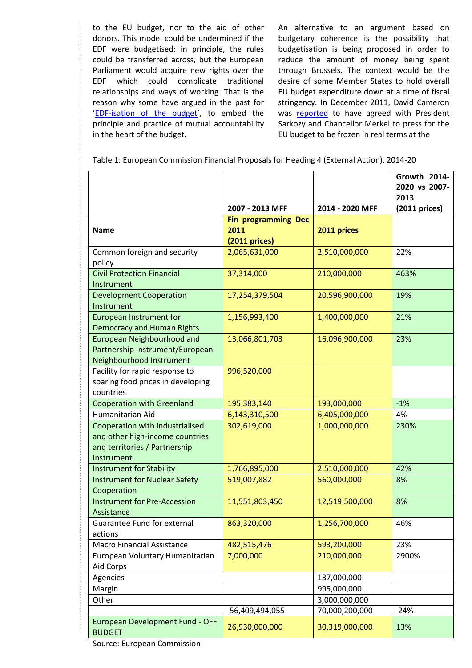to the EU budget, nor to the aid of other donors. This model could be undermined if the EDF were budgetised: in principle, the rules could be transferred across, but the European Parliament would acquire new rights over the EDF which could complicate traditional relationships and ways of working. That is the reason why some have argued in the past for '[EDF-isation of the budget](http://www.europesworld.org/Francais/EWSettings/Article/tabid/190/ArticleType/ArticleView/ArticleID/21267/Default.aspx)', to embed the principle and practice of mutual accountability in the heart of the budget.

An alternative to an argument based on budgetary coherence is the possibility that budgetisation is being proposed in order to reduce the amount of money being spent through Brussels. The context would be the desire of some Member States to hold overall EU budget expenditure down at a time of fiscal stringency. In December 2011, David Cameron was [reported](http://www.guardian.co.uk/world/2010/dec/17/freeze-eu-budget-says-cameron) to have agreed with President Sarkozy and Chancellor Merkel to press for the EU budget to be frozen in real terms at the

| Table 1: European Commission Financial Proposals for Heading 4 (External Action), 2014-20 |  |  |  |  |
|-------------------------------------------------------------------------------------------|--|--|--|--|
|-------------------------------------------------------------------------------------------|--|--|--|--|

|                                                                                                                   | 2007 - 2013 MFF                                        | 2014 - 2020 MFF | Growth 2014-<br>2020 vs 2007-<br>2013<br>$(2011)$ prices) |
|-------------------------------------------------------------------------------------------------------------------|--------------------------------------------------------|-----------------|-----------------------------------------------------------|
| <b>Name</b>                                                                                                       | <b>Fin programming Dec</b><br>2011<br>$(2011)$ prices) | 2011 prices     |                                                           |
| Common foreign and security<br>policy                                                                             | 2,065,631,000                                          | 2,510,000,000   | 22%                                                       |
| <b>Civil Protection Financial</b><br>Instrument                                                                   | 37,314,000                                             | 210,000,000     | 463%                                                      |
| <b>Development Cooperation</b><br>Instrument                                                                      | 17,254,379,504                                         | 20,596,900,000  | 19%                                                       |
| <b>European Instrument for</b><br><b>Democracy and Human Rights</b>                                               | 1,156,993,400                                          | 1,400,000,000   | 21%                                                       |
| <b>European Neighbourhood and</b><br>Partnership Instrument/European<br>Neighbourhood Instrument                  | 13,066,801,703                                         | 16,096,900,000  | 23%                                                       |
| Facility for rapid response to<br>soaring food prices in developing<br>countries                                  | 996,520,000                                            |                 |                                                           |
| <b>Cooperation with Greenland</b>                                                                                 | 195,383,140                                            | 193,000,000     | $-1%$                                                     |
| Humanitarian Aid                                                                                                  | 6,143,310,500                                          | 6,405,000,000   | 4%                                                        |
| Cooperation with industrialised<br>and other high-income countries<br>and territories / Partnership<br>Instrument | 302,619,000                                            | 1,000,000,000   | 230%                                                      |
| <b>Instrument for Stability</b>                                                                                   | 1,766,895,000                                          | 2,510,000,000   | 42%                                                       |
| <b>Instrument for Nuclear Safety</b><br>Cooperation                                                               | 519,007,882                                            | 560,000,000     | 8%                                                        |
| <b>Instrument for Pre-Accession</b><br>Assistance                                                                 | 11,551,803,450                                         | 12,519,500,000  | 8%                                                        |
| Guarantee Fund for external<br>actions                                                                            | 863,320,000                                            | 1,256,700,000   | 46%                                                       |
| Macro Financial Assistance                                                                                        | 482,515,476                                            | 593,200,000     | 23%                                                       |
| European Voluntary Humanitarian<br>Aid Corps                                                                      | 7,000,000                                              | 210,000,000     | 2900%                                                     |
| Agencies                                                                                                          |                                                        | 137,000,000     |                                                           |
| Margin                                                                                                            |                                                        | 995,000,000     |                                                           |
| Other                                                                                                             |                                                        | 3,000,000,000   |                                                           |
|                                                                                                                   | 56,409,494,055                                         | 70,000,200,000  | 24%                                                       |
| European Development Fund - OFF<br><b>BUDGET</b>                                                                  | 26,930,000,000                                         | 30,319,000,000  | 13%                                                       |

Source: European Commission